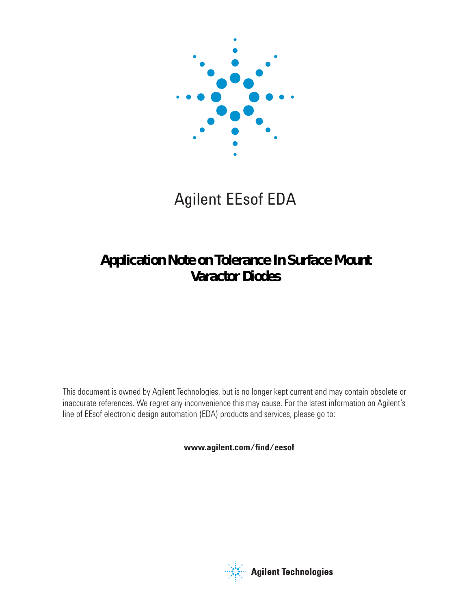

# Agilent EEsof EDA

## **Application Note on Tolerance In Surface Mount Varactor Diodes**

This document is owned by Agilent Technologies, but is no longer kept current and may contain obsolete or inaccurate references. We regret any inconvenience this may cause. For the latest information on Agilent's line of EEsof electronic design automation (EDA) products and services, please go to:

www.agilent.com/find/eesof



**Agilent Technologies**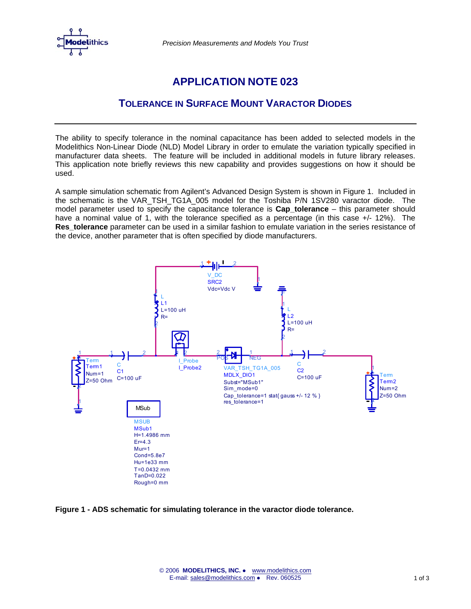

*Precision Measurements and Models You Trust* 

## **APPLICATION NOTE 023**

### **TOLERANCE IN SURFACE MOUNT VARACTOR DIODES**

The ability to specify tolerance in the nominal capacitance has been added to selected models in the Modelithics Non-Linear Diode (NLD) Model Library in order to emulate the variation typically specified in manufacturer data sheets. The feature will be included in additional models in future library releases. This application note briefly reviews this new capability and provides suggestions on how it should be used.

A sample simulation schematic from Agilent's Advanced Design System is shown in Figure 1. Included in the schematic is the VAR\_TSH\_TG1A\_005 model for the Toshiba P/N 1SV280 varactor diode. The model parameter used to specify the capacitance tolerance is **Cap\_tolerance** – this parameter should have a nominal value of 1, with the tolerance specified as a percentage (in this case +/- 12%). The **Res tolerance** parameter can be used in a similar fashion to emulate variation in the series resistance of the device, another parameter that is often specified by diode manufacturers.



**Figure 1 - ADS schematic for simulating tolerance in the varactor diode tolerance.**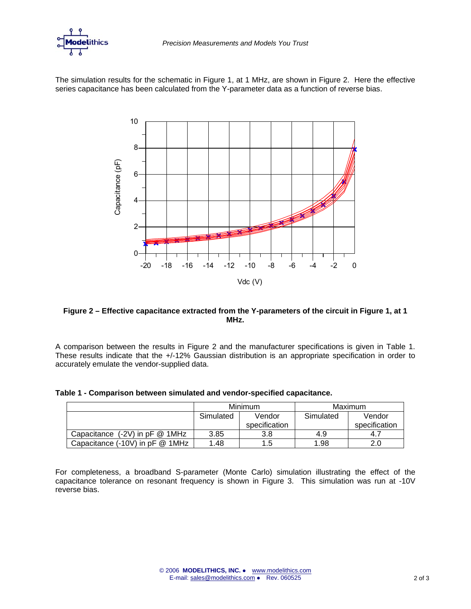

The simulation results for the schematic in Figure 1, at 1 MHz, are shown in Figure 2. Here the effective series capacitance has been calculated from the Y-parameter data as a function of reverse bias.



#### **Figure 2 – Effective capacitance extracted from the Y-parameters of the circuit in Figure 1, at 1 MHz.**

A comparison between the results in Figure 2 and the manufacturer specifications is given in Table 1. These results indicate that the +/-12% Gaussian distribution is an appropriate specification in order to accurately emulate the vendor-supplied data.

|  |  |  |  |  |  |  |  | Table 1 - Comparison between simulated and vendor-specified capacitance. |
|--|--|--|--|--|--|--|--|--------------------------------------------------------------------------|
|--|--|--|--|--|--|--|--|--------------------------------------------------------------------------|

|                                     |           | <b>Minimum</b> | Maximum   |               |
|-------------------------------------|-----------|----------------|-----------|---------------|
|                                     | Simulated | Vendor         | Simulated | Vendor        |
|                                     |           | specification  |           | specification |
| Capacitance $(-2V)$ in pF $@$ 1MHz  | 3.85      | 3.8            | 4.9       | 4.7           |
| Capacitance $(-10V)$ in pF $@$ 1MHz | 1.48      | 1.5            | 1.98      | 2.0           |

For completeness, a broadband S-parameter (Monte Carlo) simulation illustrating the effect of the capacitance tolerance on resonant frequency is shown in Figure 3. This simulation was run at -10V reverse bias.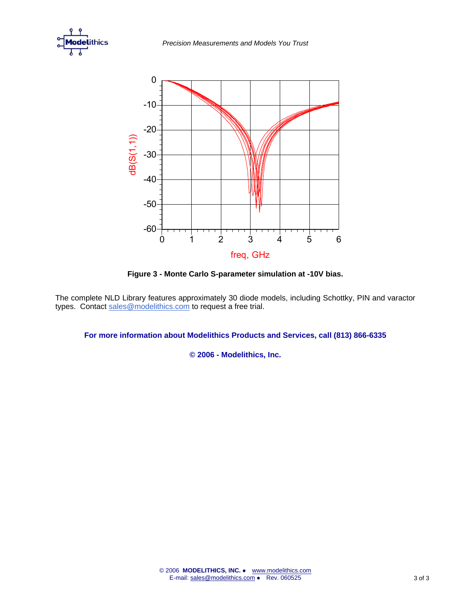



**Figure 3 - Monte Carlo S-parameter simulation at -10V bias.** 

The complete NLD Library features approximately 30 diode models, including Schottky, PIN and varactor types. Contact [sales@modelithics.com](mailto:sales@modelithics.com) to request a free trial.

**For more information about Modelithics Products and Services, call (813) 866-6335**

**© 2006 - Modelithics, Inc.**